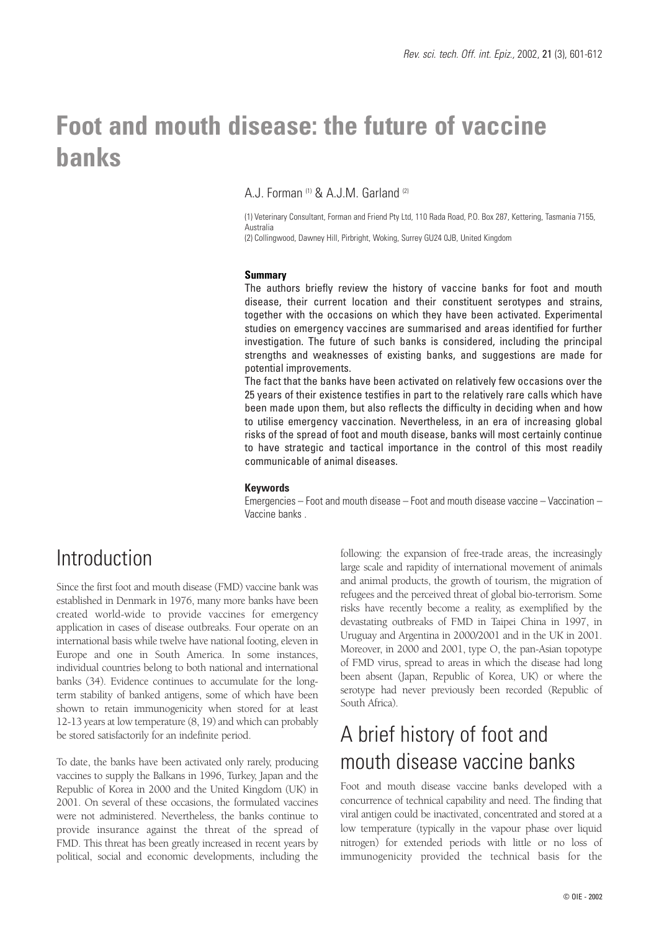# **Foot and mouth disease: the future of vaccine banks**

A.J. Forman<sup>(1)</sup> & A.J.M. Garland<sup>(2)</sup>

(1) Veterinary Consultant, Forman and Friend Pty Ltd, 110 Rada Road, P.O. Box 287, Kettering, Tasmania 7155, Australia

(2) Collingwood, Dawney Hill, Pirbright, Woking, Surrey GU24 0JB, United Kingdom

#### **Summary**

The authors briefly review the history of vaccine banks for foot and mouth disease, their current location and their constituent serotypes and strains, together with the occasions on which they have been activated. Experimental studies on emergency vaccines are summarised and areas identified for further investigation. The future of such banks is considered, including the principal strengths and weaknesses of existing banks, and suggestions are made for potential improvements.

The fact that the banks have been activated on relatively few occasions over the 25 years of their existence testifies in part to the relatively rare calls which have been made upon them, but also reflects the difficulty in deciding when and how to utilise emergency vaccination. Nevertheless, in an era of increasing global risks of the spread of foot and mouth disease, banks will most certainly continue to have strategic and tactical importance in the control of this most readily communicable of animal diseases.

#### **Keywords**

Emergencies – Foot and mouth disease – Foot and mouth disease vaccine – Vaccination – Vaccine banks .

## Introduction

Since the first foot and mouth disease (FMD) vaccine bank was established in Denmark in 1976, many more banks have been created world-wide to provide vaccines for emergency application in cases of disease outbreaks. Four operate on an international basis while twelve have national footing, eleven in Europe and one in South America. In some instances, individual countries belong to both national and international banks (34). Evidence continues to accumulate for the longterm stability of banked antigens, some of which have been shown to retain immunogenicity when stored for at least 12-13 years at low temperature (8, 19) and which can probably be stored satisfactorily for an indefinite period.

To date, the banks have been activated only rarely, producing vaccines to supply the Balkans in 1996, Turkey, Japan and the Republic of Korea in 2000 and the United Kingdom (UK) in 2001. On several of these occasions, the formulated vaccines were not administered. Nevertheless, the banks continue to provide insurance against the threat of the spread of FMD. This threat has been greatly increased in recent years by political, social and economic developments, including the

following: the expansion of free-trade areas, the increasingly large scale and rapidity of international movement of animals and animal products, the growth of tourism, the migration of refugees and the perceived threat of global bio-terrorism. Some risks have recently become a reality, as exemplified by the devastating outbreaks of FMD in Taipei China in 1997, in Uruguay and Argentina in 2000/2001 and in the UK in 2001. Moreover, in 2000 and 2001, type O, the pan-Asian topotype of FMD virus, spread to areas in which the disease had long been absent (Japan, Republic of Korea, UK) or where the serotype had never previously been recorded (Republic of South Africa).

## A brief history of foot and mouth disease vaccine banks

Foot and mouth disease vaccine banks developed with a concurrence of technical capability and need. The finding that viral antigen could be inactivated, concentrated and stored at a low temperature (typically in the vapour phase over liquid nitrogen) for extended periods with little or no loss of immunogenicity provided the technical basis for the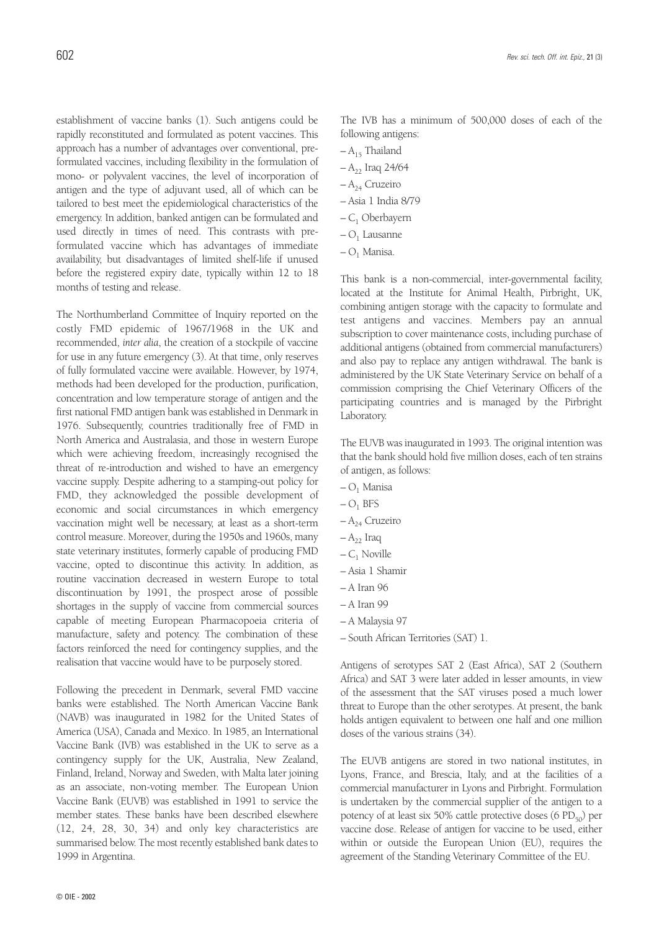establishment of vaccine banks (1). Such antigens could be rapidly reconstituted and formulated as potent vaccines. This approach has a number of advantages over conventional, preformulated vaccines, including flexibility in the formulation of mono- or polyvalent vaccines, the level of incorporation of antigen and the type of adjuvant used, all of which can be tailored to best meet the epidemiological characteristics of the emergency. In addition, banked antigen can be formulated and used directly in times of need. This contrasts with preformulated vaccine which has advantages of immediate availability, but disadvantages of limited shelf-life if unused before the registered expiry date, typically within 12 to 18 months of testing and release.

The Northumberland Committee of Inquiry reported on the costly FMD epidemic of 1967/1968 in the UK and recommended, *inter alia*, the creation of a stockpile of vaccine for use in any future emergency (3). At that time, only reserves of fully formulated vaccine were available. However, by 1974, methods had been developed for the production, purification, concentration and low temperature storage of antigen and the first national FMD antigen bank was established in Denmark in 1976. Subsequently, countries traditionally free of FMD in North America and Australasia, and those in western Europe which were achieving freedom, increasingly recognised the threat of re-introduction and wished to have an emergency vaccine supply. Despite adhering to a stamping-out policy for FMD, they acknowledged the possible development of economic and social circumstances in which emergency vaccination might well be necessary, at least as a short-term control measure. Moreover, during the 1950s and 1960s, many state veterinary institutes, formerly capable of producing FMD vaccine, opted to discontinue this activity. In addition, as routine vaccination decreased in western Europe to total discontinuation by 1991, the prospect arose of possible shortages in the supply of vaccine from commercial sources capable of meeting European Pharmacopoeia criteria of manufacture, safety and potency. The combination of these factors reinforced the need for contingency supplies, and the realisation that vaccine would have to be purposely stored.

Following the precedent in Denmark, several FMD vaccine banks were established. The North American Vaccine Bank (NAVB) was inaugurated in 1982 for the United States of America (USA), Canada and Mexico. In 1985, an International Vaccine Bank (IVB) was established in the UK to serve as a contingency supply for the UK, Australia, New Zealand, Finland, Ireland, Norway and Sweden, with Malta later joining as an associate, non-voting member. The European Union Vaccine Bank (EUVB) was established in 1991 to service the member states. These banks have been described elsewhere (12, 24, 28, 30, 34) and only key characteristics are summarised below. The most recently established bank dates to 1999 in Argentina.

The IVB has a minimum of 500,000 doses of each of the following antigens:

- $-A_{15}$  Thailand
- $-A_{22}$  Iraq 24/64
- $-A_{24}$  Cruzeiro
- Asia 1 India 8/79
- $-C<sub>1</sub>$  Oberbayern
- $-$  O<sub>1</sub> Lausanne
- $-O<sub>1</sub>$  Manisa.

This bank is a non-commercial, inter-governmental facility, located at the Institute for Animal Health, Pirbright, UK, combining antigen storage with the capacity to formulate and test antigens and vaccines. Members pay an annual subscription to cover maintenance costs, including purchase of additional antigens (obtained from commercial manufacturers) and also pay to replace any antigen withdrawal. The bank is administered by the UK State Veterinary Service on behalf of a commission comprising the Chief Veterinary Officers of the participating countries and is managed by the Pirbright Laboratory.

The EUVB was inaugurated in 1993. The original intention was that the bank should hold five million doses, each of ten strains of antigen, as follows:

- $-O<sub>1</sub>$  Manisa
- $-$  O<sub>1</sub> BFS
- $-A_{24}$  Cruzeiro
- $-A_{22}$  Iraq
- $-C_1$  Noville
- Asia 1 Shamir
- A Iran 96
- A Iran 99
- A Malaysia 97
- South African Territories (SAT) 1.

Antigens of serotypes SAT 2 (East Africa), SAT 2 (Southern Africa) and SAT 3 were later added in lesser amounts, in view of the assessment that the SAT viruses posed a much lower threat to Europe than the other serotypes. At present, the bank holds antigen equivalent to between one half and one million doses of the various strains (34).

The EUVB antigens are stored in two national institutes, in Lyons, France, and Brescia, Italy, and at the facilities of a commercial manufacturer in Lyons and Pirbright. Formulation is undertaken by the commercial supplier of the antigen to a potency of at least six 50% cattle protective doses (6  $PD_{50}$ ) per vaccine dose. Release of antigen for vaccine to be used, either within or outside the European Union (EU), requires the agreement of the Standing Veterinary Committee of the EU.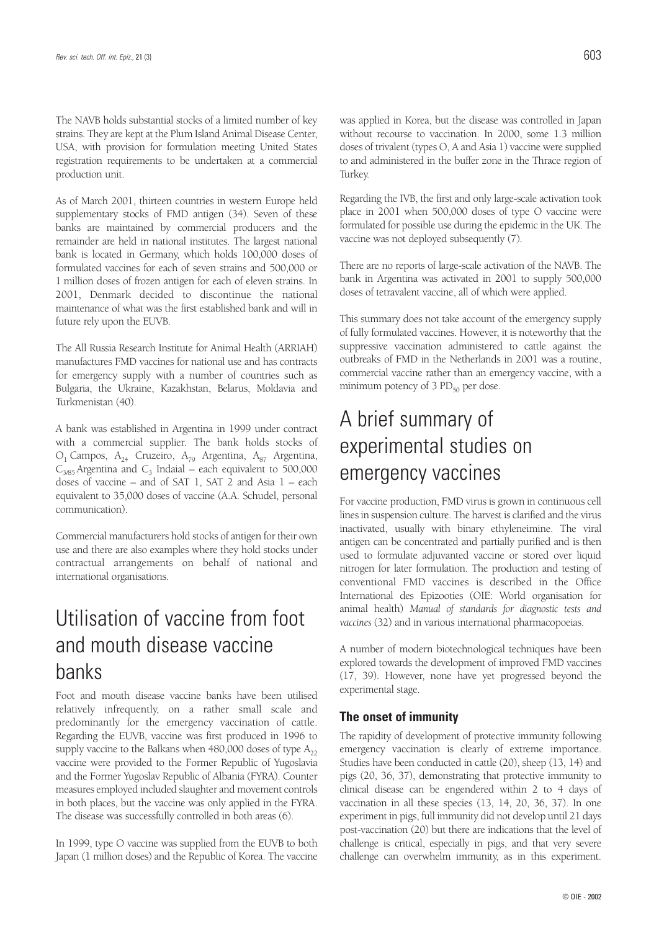The NAVB holds substantial stocks of a limited number of key strains. They are kept at the Plum Island Animal Disease Center, USA, with provision for formulation meeting United States registration requirements to be undertaken at a commercial production unit.

As of March 2001, thirteen countries in western Europe held supplementary stocks of FMD antigen (34). Seven of these banks are maintained by commercial producers and the remainder are held in national institutes. The largest national bank is located in Germany, which holds 100,000 doses of formulated vaccines for each of seven strains and 500,000 or 1 million doses of frozen antigen for each of eleven strains. In 2001, Denmark decided to discontinue the national maintenance of what was the first established bank and will in future rely upon the EUVB.

The All Russia Research Institute for Animal Health (ARRIAH) manufactures FMD vaccines for national use and has contracts for emergency supply with a number of countries such as Bulgaria, the Ukraine, Kazakhstan, Belarus, Moldavia and Turkmenistan (40).

A bank was established in Argentina in 1999 under contract with a commercial supplier. The bank holds stocks of  $O_1$  Campos,  $A_{24}$  Cruzeiro,  $A_{79}$  Argentina,  $A_{87}$  Argentina,  $C_{3/85}$  Argentina and  $C_3$  Indaial – each equivalent to 500,000 doses of vaccine – and of SAT 1, SAT 2 and Asia 1 – each equivalent to 35,000 doses of vaccine (A.A. Schudel, personal communication).

Commercial manufacturers hold stocks of antigen for their own use and there are also examples where they hold stocks under contractual arrangements on behalf of national and international organisations.

## Utilisation of vaccine from foot and mouth disease vaccine banks

Foot and mouth disease vaccine banks have been utilised relatively infrequently, on a rather small scale and predominantly for the emergency vaccination of cattle. Regarding the EUVB, vaccine was first produced in 1996 to supply vaccine to the Balkans when  $480,000$  doses of type  $A_{22}$ vaccine were provided to the Former Republic of Yugoslavia and the Former Yugoslav Republic of Albania (FYRA). Counter measures employed included slaughter and movement controls in both places, but the vaccine was only applied in the FYRA. The disease was successfully controlled in both areas (6).

In 1999, type O vaccine was supplied from the EUVB to both Japan (1 million doses) and the Republic of Korea. The vaccine was applied in Korea, but the disease was controlled in Japan without recourse to vaccination. In 2000, some 1.3 million doses of trivalent (types O, A and Asia 1) vaccine were supplied to and administered in the buffer zone in the Thrace region of Turkey.

Regarding the IVB, the first and only large-scale activation took place in 2001 when 500,000 doses of type O vaccine were formulated for possible use during the epidemic in the UK. The vaccine was not deployed subsequently (7).

There are no reports of large-scale activation of the NAVB. The bank in Argentina was activated in 2001 to supply 500,000 doses of tetravalent vaccine, all of which were applied.

This summary does not take account of the emergency supply of fully formulated vaccines. However, it is noteworthy that the suppressive vaccination administered to cattle against the outbreaks of FMD in the Netherlands in 2001 was a routine, commercial vaccine rather than an emergency vaccine, with a minimum potency of  $3 PD_{50}$  per dose.

# A brief summary of experimental studies on emergency vaccines

For vaccine production, FMD virus is grown in continuous cell lines in suspension culture. The harvest is clarified and the virus inactivated, usually with binary ethyleneimine. The viral antigen can be concentrated and partially purified and is then used to formulate adjuvanted vaccine or stored over liquid nitrogen for later formulation. The production and testing of conventional FMD vaccines is described in the Office International des Epizooties (OIE: World organisation for animal health) *Manual of standards for diagnostic tests and vaccines* (32) and in various international pharmacopoeias.

A number of modern biotechnological techniques have been explored towards the development of improved FMD vaccines (17, 39). However, none have yet progressed beyond the experimental stage.

### **The onset of immunity**

The rapidity of development of protective immunity following emergency vaccination is clearly of extreme importance. Studies have been conducted in cattle (20), sheep (13, 14) and pigs (20, 36, 37), demonstrating that protective immunity to clinical disease can be engendered within 2 to 4 days of vaccination in all these species (13, 14, 20, 36, 37). In one experiment in pigs, full immunity did not develop until 21 days post-vaccination (20) but there are indications that the level of challenge is critical, especially in pigs, and that very severe challenge can overwhelm immunity, as in this experiment.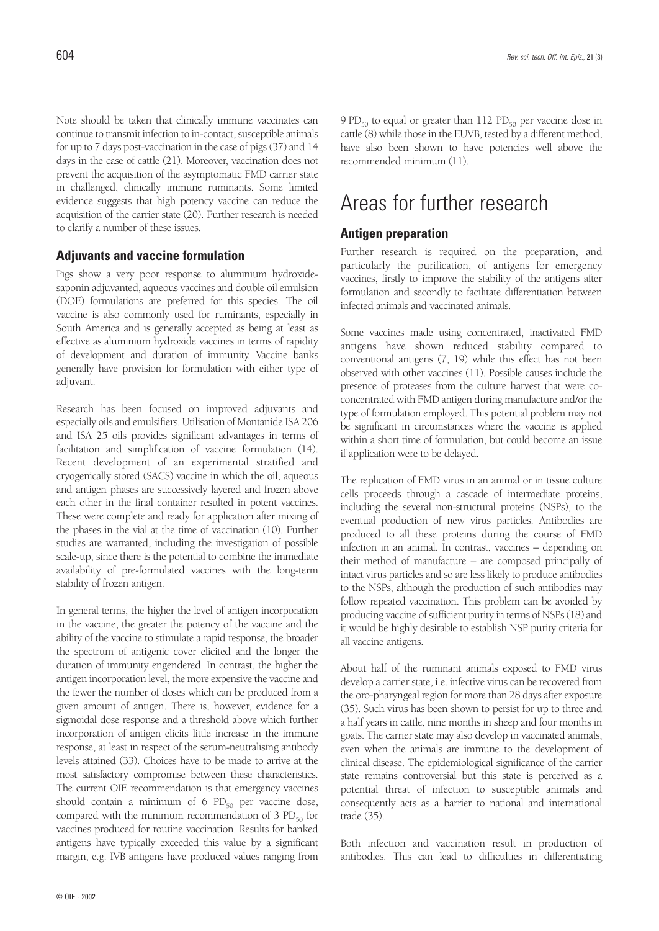Note should be taken that clinically immune vaccinates can continue to transmit infection to in-contact, susceptible animals for up to 7 days post-vaccination in the case of pigs (37) and 14 days in the case of cattle (21). Moreover, vaccination does not prevent the acquisition of the asymptomatic FMD carrier state in challenged, clinically immune ruminants. Some limited evidence suggests that high potency vaccine can reduce the acquisition of the carrier state (20). Further research is needed to clarify a number of these issues.

### **Adjuvants and vaccine formulation**

Pigs show a very poor response to aluminium hydroxidesaponin adjuvanted, aqueous vaccines and double oil emulsion (DOE) formulations are preferred for this species. The oil vaccine is also commonly used for ruminants, especially in South America and is generally accepted as being at least as effective as aluminium hydroxide vaccines in terms of rapidity of development and duration of immunity. Vaccine banks generally have provision for formulation with either type of adjuvant.

Research has been focused on improved adjuvants and especially oils and emulsifiers. Utilisation of Montanide ISA 206 and ISA 25 oils provides significant advantages in terms of facilitation and simplification of vaccine formulation (14). Recent development of an experimental stratified and cryogenically stored (SACS) vaccine in which the oil, aqueous and antigen phases are successively layered and frozen above each other in the final container resulted in potent vaccines. These were complete and ready for application after mixing of the phases in the vial at the time of vaccination (10). Further studies are warranted, including the investigation of possible scale-up, since there is the potential to combine the immediate availability of pre-formulated vaccines with the long-term stability of frozen antigen.

In general terms, the higher the level of antigen incorporation in the vaccine, the greater the potency of the vaccine and the ability of the vaccine to stimulate a rapid response, the broader the spectrum of antigenic cover elicited and the longer the duration of immunity engendered. In contrast, the higher the antigen incorporation level, the more expensive the vaccine and the fewer the number of doses which can be produced from a given amount of antigen. There is, however, evidence for a sigmoidal dose response and a threshold above which further incorporation of antigen elicits little increase in the immune response, at least in respect of the serum-neutralising antibody levels attained (33). Choices have to be made to arrive at the most satisfactory compromise between these characteristics. The current OIE recommendation is that emergency vaccines should contain a minimum of 6  $PD_{50}$  per vaccine dose, compared with the minimum recommendation of 3  $PD_{50}$  for vaccines produced for routine vaccination. Results for banked antigens have typically exceeded this value by a significant margin, e.g. IVB antigens have produced values ranging from

9 PD $_{50}$  to equal or greater than 112 PD $_{50}$  per vaccine dose in cattle (8) while those in the EUVB, tested by a different method, have also been shown to have potencies well above the recommended minimum (11).

# Areas for further research

### **Antigen preparation**

Further research is required on the preparation, and particularly the purification, of antigens for emergency vaccines, firstly to improve the stability of the antigens after formulation and secondly to facilitate differentiation between infected animals and vaccinated animals.

Some vaccines made using concentrated, inactivated FMD antigens have shown reduced stability compared to conventional antigens (7, 19) while this effect has not been observed with other vaccines (11). Possible causes include the presence of proteases from the culture harvest that were coconcentrated with FMD antigen during manufacture and/or the type of formulation employed. This potential problem may not be significant in circumstances where the vaccine is applied within a short time of formulation, but could become an issue if application were to be delayed.

The replication of FMD virus in an animal or in tissue culture cells proceeds through a cascade of intermediate proteins, including the several non-structural proteins (NSPs), to the eventual production of new virus particles. Antibodies are produced to all these proteins during the course of FMD infection in an animal. In contrast, vaccines – depending on their method of manufacture – are composed principally of intact virus particles and so are less likely to produce antibodies to the NSPs, although the production of such antibodies may follow repeated vaccination. This problem can be avoided by producing vaccine of sufficient purity in terms of NSPs (18) and it would be highly desirable to establish NSP purity criteria for all vaccine antigens.

About half of the ruminant animals exposed to FMD virus develop a carrier state, i.e. infective virus can be recovered from the oro-pharyngeal region for more than 28 days after exposure (35). Such virus has been shown to persist for up to three and a half years in cattle, nine months in sheep and four months in goats. The carrier state may also develop in vaccinated animals, even when the animals are immune to the development of clinical disease. The epidemiological significance of the carrier state remains controversial but this state is perceived as a potential threat of infection to susceptible animals and consequently acts as a barrier to national and international trade (35).

Both infection and vaccination result in production of antibodies. This can lead to difficulties in differentiating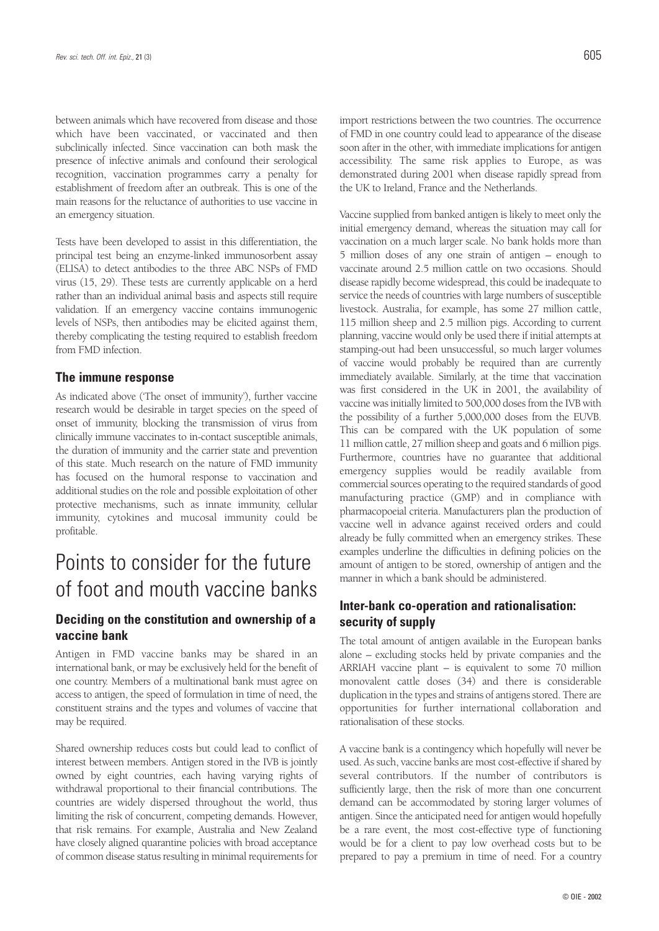between animals which have recovered from disease and those which have been vaccinated, or vaccinated and then subclinically infected. Since vaccination can both mask the presence of infective animals and confound their serological recognition, vaccination programmes carry a penalty for establishment of freedom after an outbreak. This is one of the main reasons for the reluctance of authorities to use vaccine in an emergency situation.

Tests have been developed to assist in this differentiation, the principal test being an enzyme-linked immunosorbent assay (ELISA) to detect antibodies to the three ABC NSPs of FMD virus (15, 29). These tests are currently applicable on a herd rather than an individual animal basis and aspects still require validation. If an emergency vaccine contains immunogenic levels of NSPs, then antibodies may be elicited against them, thereby complicating the testing required to establish freedom from FMD infection.

#### **The immune response**

As indicated above ('The onset of immunity'), further vaccine research would be desirable in target species on the speed of onset of immunity, blocking the transmission of virus from clinically immune vaccinates to in-contact susceptible animals, the duration of immunity and the carrier state and prevention of this state. Much research on the nature of FMD immunity has focused on the humoral response to vaccination and additional studies on the role and possible exploitation of other protective mechanisms, such as innate immunity, cellular immunity, cytokines and mucosal immunity could be profitable.

## Points to consider for the future of foot and mouth vaccine banks

### **Deciding on the constitution and ownership of a vaccine bank**

Antigen in FMD vaccine banks may be shared in an international bank, or may be exclusively held for the benefit of one country. Members of a multinational bank must agree on access to antigen, the speed of formulation in time of need, the constituent strains and the types and volumes of vaccine that may be required.

Shared ownership reduces costs but could lead to conflict of interest between members. Antigen stored in the IVB is jointly owned by eight countries, each having varying rights of withdrawal proportional to their financial contributions. The countries are widely dispersed throughout the world, thus limiting the risk of concurrent, competing demands. However, that risk remains. For example, Australia and New Zealand have closely aligned quarantine policies with broad acceptance of common disease status resulting in minimal requirements for

import restrictions between the two countries. The occurrence of FMD in one country could lead to appearance of the disease soon after in the other, with immediate implications for antigen accessibility. The same risk applies to Europe, as was demonstrated during 2001 when disease rapidly spread from the UK to Ireland, France and the Netherlands.

Vaccine supplied from banked antigen is likely to meet only the initial emergency demand, whereas the situation may call for vaccination on a much larger scale. No bank holds more than 5 million doses of any one strain of antigen – enough to vaccinate around 2.5 million cattle on two occasions. Should disease rapidly become widespread, this could be inadequate to service the needs of countries with large numbers of susceptible livestock. Australia, for example, has some 27 million cattle, 115 million sheep and 2.5 million pigs. According to current planning, vaccine would only be used there if initial attempts at stamping-out had been unsuccessful, so much larger volumes of vaccine would probably be required than are currently immediately available. Similarly, at the time that vaccination was first considered in the UK in 2001, the availability of vaccine was initially limited to 500,000 doses from the IVB with the possibility of a further 5,000,000 doses from the EUVB. This can be compared with the UK population of some 11 million cattle, 27 million sheep and goats and 6 million pigs. Furthermore, countries have no guarantee that additional emergency supplies would be readily available from commercial sources operating to the required standards of good manufacturing practice (GMP) and in compliance with pharmacopoeial criteria. Manufacturers plan the production of vaccine well in advance against received orders and could already be fully committed when an emergency strikes. These examples underline the difficulties in defining policies on the amount of antigen to be stored, ownership of antigen and the manner in which a bank should be administered.

### **Inter-bank co-operation and rationalisation: security of supply**

The total amount of antigen available in the European banks alone – excluding stocks held by private companies and the ARRIAH vaccine plant – is equivalent to some 70 million monovalent cattle doses (34) and there is considerable duplication in the types and strains of antigens stored. There are opportunities for further international collaboration and rationalisation of these stocks.

A vaccine bank is a contingency which hopefully will never be used. As such, vaccine banks are most cost-effective if shared by several contributors. If the number of contributors is sufficiently large, then the risk of more than one concurrent demand can be accommodated by storing larger volumes of antigen. Since the anticipated need for antigen would hopefully be a rare event, the most cost-effective type of functioning would be for a client to pay low overhead costs but to be prepared to pay a premium in time of need. For a country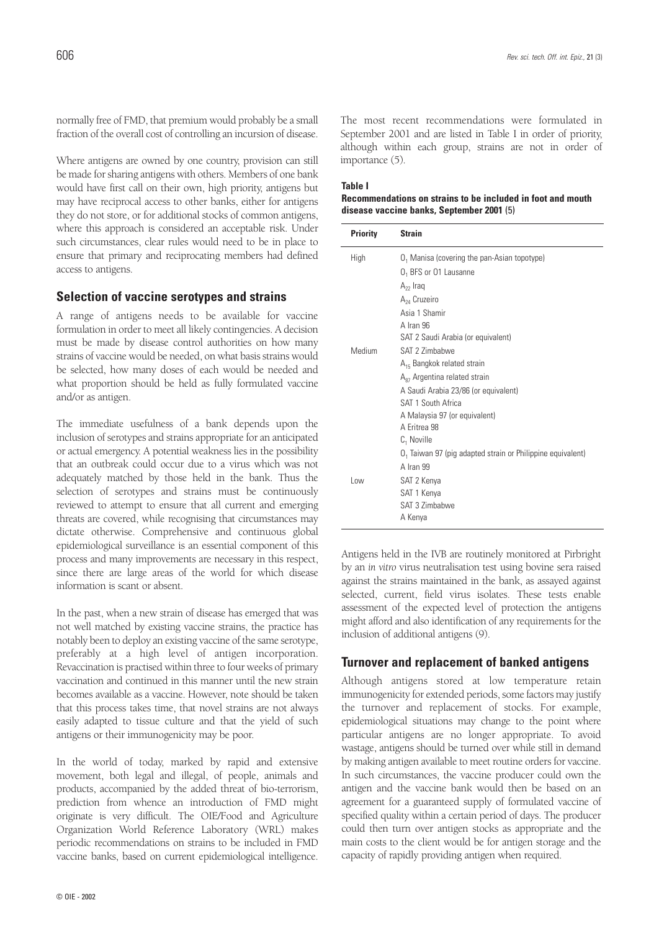normally free of FMD, that premium would probably be a small fraction of the overall cost of controlling an incursion of disease.

Where antigens are owned by one country, provision can still be made for sharing antigens with others. Members of one bank would have first call on their own, high priority, antigens but may have reciprocal access to other banks, either for antigens they do not store, or for additional stocks of common antigens, where this approach is considered an acceptable risk. Under such circumstances, clear rules would need to be in place to ensure that primary and reciprocating members had defined access to antigens.

#### **Selection of vaccine serotypes and strains**

A range of antigens needs to be available for vaccine formulation in order to meet all likely contingencies. A decision must be made by disease control authorities on how many strains of vaccine would be needed, on what basis strains would be selected, how many doses of each would be needed and what proportion should be held as fully formulated vaccine and/or as antigen.

The immediate usefulness of a bank depends upon the inclusion of serotypes and strains appropriate for an anticipated or actual emergency. A potential weakness lies in the possibility that an outbreak could occur due to a virus which was not adequately matched by those held in the bank. Thus the selection of serotypes and strains must be continuously reviewed to attempt to ensure that all current and emerging threats are covered, while recognising that circumstances may dictate otherwise. Comprehensive and continuous global epidemiological surveillance is an essential component of this process and many improvements are necessary in this respect, since there are large areas of the world for which disease information is scant or absent.

In the past, when a new strain of disease has emerged that was not well matched by existing vaccine strains, the practice has notably been to deploy an existing vaccine of the same serotype, preferably at a high level of antigen incorporation. Revaccination is practised within three to four weeks of primary vaccination and continued in this manner until the new strain becomes available as a vaccine. However, note should be taken that this process takes time, that novel strains are not always easily adapted to tissue culture and that the yield of such antigens or their immunogenicity may be poor.

In the world of today, marked by rapid and extensive movement, both legal and illegal, of people, animals and products, accompanied by the added threat of bio-terrorism, prediction from whence an introduction of FMD might originate is very difficult. The OIE/Food and Agriculture Organization World Reference Laboratory (WRL) makes periodic recommendations on strains to be included in FMD vaccine banks, based on current epidemiological intelligence.

The most recent recommendations were formulated in September 2001 and are listed in Table I in order of priority, although within each group, strains are not in order of importance (5).

#### **Table I**

#### **Recommendations on strains to be included in foot and mouth disease vaccine banks, September 2001** (5)

| <b>Priority</b> | <b>Strain</b>                                              |
|-----------------|------------------------------------------------------------|
| High            | O <sub>1</sub> Manisa (covering the pan-Asian topotype)    |
|                 | O <sub>1</sub> BFS or 01 Lausanne                          |
|                 | $A_{22}$ Iraq                                              |
|                 | A <sub>24</sub> Cruzeiro                                   |
|                 | Asia 1 Shamir                                              |
|                 | A Iran 96                                                  |
|                 | SAT 2 Saudi Arabia (or equivalent)                         |
| Medium          | SAT 2 7imhahwe                                             |
|                 | $A_{15}$ Bangkok related strain                            |
|                 | A <sub>87</sub> Argentina related strain                   |
|                 | A Saudi Arabia 23/86 (or equivalent)                       |
|                 | SAT 1 South Africa                                         |
|                 | A Malaysia 97 (or equivalent)                              |
|                 | A Fritrea 98                                               |
|                 | $C_1$ Noville                                              |
|                 | 0, Taiwan 97 (pig adapted strain or Philippine equivalent) |
|                 | A Iran 99                                                  |
| Low             | SAT 2 Kenya                                                |
|                 | SAT 1 Kenya                                                |
|                 | SAT 3 Zimbabwe                                             |
|                 | A Kenya                                                    |

Antigens held in the IVB are routinely monitored at Pirbright by an *in vitro* virus neutralisation test using bovine sera raised against the strains maintained in the bank, as assayed against selected, current, field virus isolates. These tests enable assessment of the expected level of protection the antigens might afford and also identification of any requirements for the inclusion of additional antigens (9).

### **Turnover and replacement of banked antigens**

Although antigens stored at low temperature retain immunogenicity for extended periods, some factors may justify the turnover and replacement of stocks. For example, epidemiological situations may change to the point where particular antigens are no longer appropriate. To avoid wastage, antigens should be turned over while still in demand by making antigen available to meet routine orders for vaccine. In such circumstances, the vaccine producer could own the antigen and the vaccine bank would then be based on an agreement for a guaranteed supply of formulated vaccine of specified quality within a certain period of days. The producer could then turn over antigen stocks as appropriate and the main costs to the client would be for antigen storage and the capacity of rapidly providing antigen when required.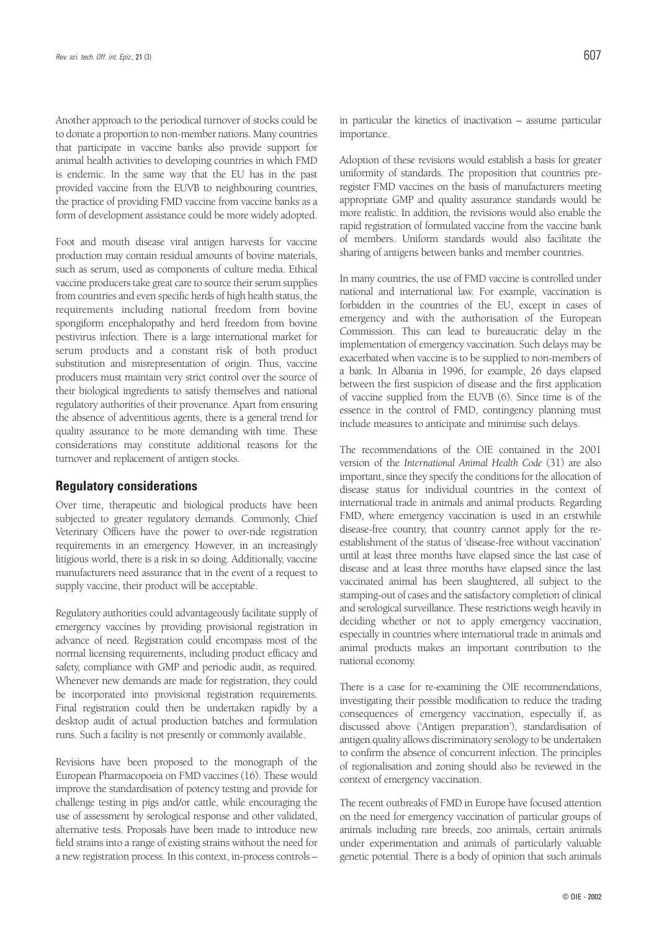Another approach to the periodical turnover of stocks could be to donate a proportion to non-member nations. Many countries that participate in vaccine banks also provide support for animal health activities to developing countries in which FMD is endemic. In the same way that the EU has in the past provided vaccine from the EUVB to neighbouring countries, the practice of providing FMD vaccine from vaccine banks as a form of development assistance could be more widely adopted.

Foot and mouth disease viral antigen harvests for vaccine production may contain residual amounts of bovine materials, such as serum, used as components of culture media. Ethical vaccine producers take great care to source their serum supplies from countries and even specific herds of high health status, the requirements including national freedom from bovine spongiform encephalopathy and herd freedom from bovine pestivirus infection. There is a large international market for serum products and a constant risk of both product substitution and misrepresentation of origin. Thus, vaccine producers must maintain very strict control over the source of their biological ingredients to satisfy themselves and national regulatory authorities of their provenance. Apart from ensuring the absence of adventitious agents, there is a general trend for quality assurance to be more demanding with time. These considerations may constitute additional reasons for the turnover and replacement of antigen stocks.

#### **Regulatory considerations**

Over time, therapeutic and biological products have been subjected to greater regulatory demands. Commonly, Chief Veterinary Officers have the power to over-ride registration requirements in an emergency. However, in an increasingly litigious world, there is a risk in so doing. Additionally, vaccine manufacturers need assurance that in the event of a request to supply vaccine, their product will be acceptable.

Regulatory authorities could advantageously facilitate supply of emergency vaccines by providing provisional registration in advance of need. Registration could encompass most of the normal licensing requirements, including product efficacy and safety, compliance with GMP and periodic audit, as required. Whenever new demands are made for registration, they could be incorporated into provisional registration requirements. Final registration could then be undertaken rapidly by a desktop audit of actual production batches and formulation runs. Such a facility is not presently or commonly available.

Revisions have been proposed to the monograph of the European Pharmacopoeia on FMD vaccines (16). These would improve the standardisation of potency testing and provide for challenge testing in pigs and/or cattle, while encouraging the use of assessment by serological response and other validated, alternative tests. Proposals have been made to introduce new field strains into a range of existing strains without the need for a new registration process. In this context, in-process controls –

Adoption of these revisions would establish a basis for greater uniformity of standards. The proposition that countries preregister FMD vaccines on the basis of manufacturers meeting appropriate GMP and quality assurance standards would be more realistic. In addition, the revisions would also enable the rapid registration of formulated vaccine from the vaccine bank of members. Uniform standards would also facilitate the sharing of antigens between banks and member countries.

In many countries, the use of FMD vaccine is controlled under national and international law. For example, vaccination is forbidden in the countries of the EU, except in cases of emergency and with the authorisation of the European Commission. This can lead to bureaucratic delay in the implementation of emergency vaccination. Such delays may be exacerbated when vaccine is to be supplied to non-members of a bank. In Albania in 1996, for example, 26 days elapsed between the first suspicion of disease and the first application of vaccine supplied from the EUVB (6). Since time is of the essence in the control of FMD, contingency planning must include measures to anticipate and minimise such delays.

The recommendations of the OIE contained in the 2001 version of the *International Animal Health Code* (31) are also important, since they specify the conditions for the allocation of disease status for individual countries in the context of international trade in animals and animal products. Regarding FMD, where emergency vaccination is used in an erstwhile disease-free country, that country cannot apply for the reestablishment of the status of 'disease-free without vaccination' until at least three months have elapsed since the last case of disease and at least three months have elapsed since the last vaccinated animal has been slaughtered, all subject to the stamping-out of cases and the satisfactory completion of clinical and serological surveillance. These restrictions weigh heavily in deciding whether or not to apply emergency vaccination, especially in countries where international trade in animals and animal products makes an important contribution to the national economy.

There is a case for re-examining the OIE recommendations, investigating their possible modification to reduce the trading consequences of emergency vaccination, especially if, as discussed above ('Antigen preparation'), standardisation of antigen quality allows discriminatory serology to be undertaken to confirm the absence of concurrent infection. The principles of regionalisation and zoning should also be reviewed in the context of emergency vaccination.

The recent outbreaks of FMD in Europe have focused attention on the need for emergency vaccination of particular groups of animals including rare breeds, zoo animals, certain animals under experimentation and animals of particularly valuable genetic potential. There is a body of opinion that such animals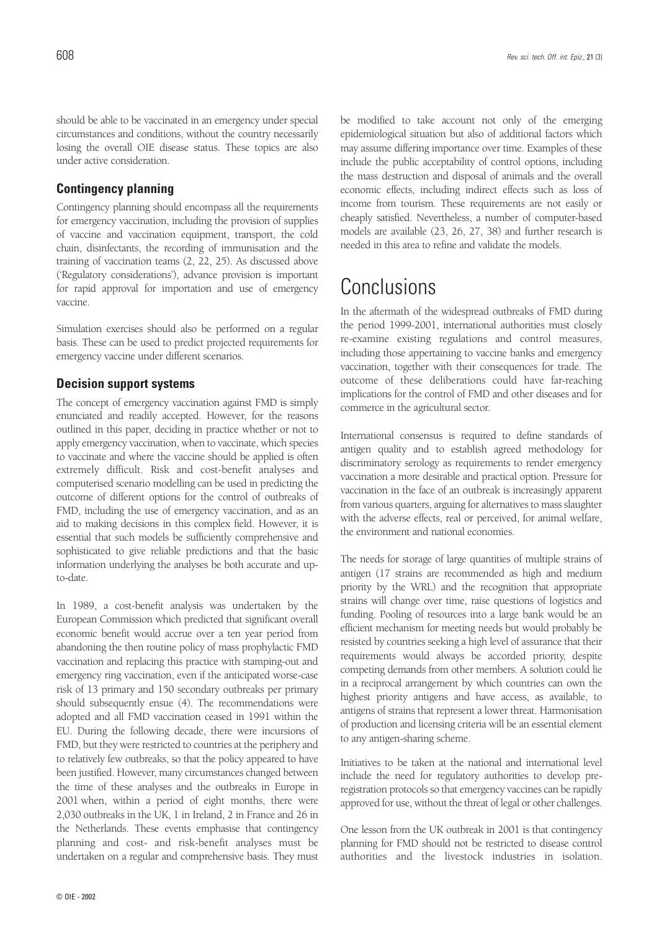should be able to be vaccinated in an emergency under special circumstances and conditions, without the country necessarily losing the overall OIE disease status. These topics are also under active consideration.

### **Contingency planning**

Contingency planning should encompass all the requirements for emergency vaccination, including the provision of supplies of vaccine and vaccination equipment, transport, the cold chain, disinfectants, the recording of immunisation and the training of vaccination teams (2, 22, 25). As discussed above ('Regulatory considerations'), advance provision is important for rapid approval for importation and use of emergency vaccine.

Simulation exercises should also be performed on a regular basis. These can be used to predict projected requirements for emergency vaccine under different scenarios.

#### **Decision support systems**

The concept of emergency vaccination against FMD is simply enunciated and readily accepted. However, for the reasons outlined in this paper, deciding in practice whether or not to apply emergency vaccination, when to vaccinate, which species to vaccinate and where the vaccine should be applied is often extremely difficult. Risk and cost-benefit analyses and computerised scenario modelling can be used in predicting the outcome of different options for the control of outbreaks of FMD, including the use of emergency vaccination, and as an aid to making decisions in this complex field. However, it is essential that such models be sufficiently comprehensive and sophisticated to give reliable predictions and that the basic information underlying the analyses be both accurate and upto-date.

In 1989, a cost-benefit analysis was undertaken by the European Commission which predicted that significant overall economic benefit would accrue over a ten year period from abandoning the then routine policy of mass prophylactic FMD vaccination and replacing this practice with stamping-out and emergency ring vaccination, even if the anticipated worse-case risk of 13 primary and 150 secondary outbreaks per primary should subsequently ensue (4). The recommendations were adopted and all FMD vaccination ceased in 1991 within the EU. During the following decade, there were incursions of FMD, but they were restricted to countries at the periphery and to relatively few outbreaks, so that the policy appeared to have been justified. However, many circumstances changed between the time of these analyses and the outbreaks in Europe in 2001 when, within a period of eight months, there were 2,030 outbreaks in the UK, 1 in Ireland, 2 in France and 26 in the Netherlands. These events emphasise that contingency planning and cost- and risk-benefit analyses must be undertaken on a regular and comprehensive basis. They must

be modified to take account not only of the emerging epidemiological situation but also of additional factors which may assume differing importance over time. Examples of these include the public acceptability of control options, including the mass destruction and disposal of animals and the overall economic effects, including indirect effects such as loss of income from tourism. These requirements are not easily or cheaply satisfied. Nevertheless, a number of computer-based models are available (23, 26, 27, 38) and further research is needed in this area to refine and validate the models.

## **Conclusions**

In the aftermath of the widespread outbreaks of FMD during the period 1999-2001, international authorities must closely re-examine existing regulations and control measures, including those appertaining to vaccine banks and emergency vaccination, together with their consequences for trade. The outcome of these deliberations could have far-reaching implications for the control of FMD and other diseases and for commerce in the agricultural sector.

International consensus is required to define standards of antigen quality and to establish agreed methodology for discriminatory serology as requirements to render emergency vaccination a more desirable and practical option. Pressure for vaccination in the face of an outbreak is increasingly apparent from various quarters, arguing for alternatives to mass slaughter with the adverse effects, real or perceived, for animal welfare, the environment and national economies.

The needs for storage of large quantities of multiple strains of antigen (17 strains are recommended as high and medium priority by the WRL) and the recognition that appropriate strains will change over time, raise questions of logistics and funding. Pooling of resources into a large bank would be an efficient mechanism for meeting needs but would probably be resisted by countries seeking a high level of assurance that their requirements would always be accorded priority, despite competing demands from other members. A solution could lie in a reciprocal arrangement by which countries can own the highest priority antigens and have access, as available, to antigens of strains that represent a lower threat. Harmonisation of production and licensing criteria will be an essential element to any antigen-sharing scheme.

Initiatives to be taken at the national and international level include the need for regulatory authorities to develop preregistration protocols so that emergency vaccines can be rapidly approved for use, without the threat of legal or other challenges.

One lesson from the UK outbreak in 2001 is that contingency planning for FMD should not be restricted to disease control authorities and the livestock industries in isolation.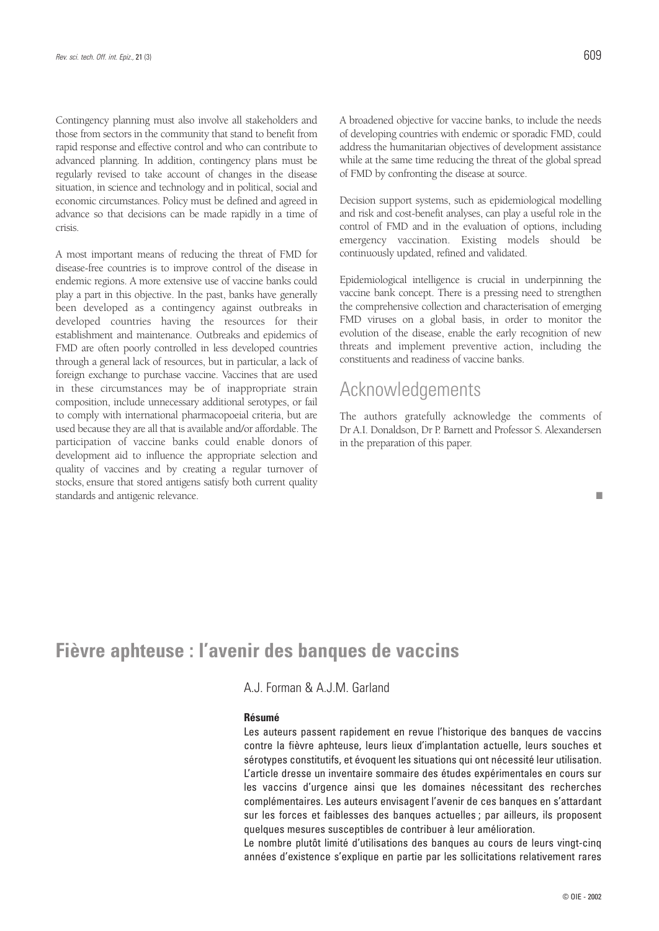Contingency planning must also involve all stakeholders and those from sectors in the community that stand to benefit from rapid response and effective control and who can contribute to advanced planning. In addition, contingency plans must be regularly revised to take account of changes in the disease situation, in science and technology and in political, social and economic circumstances. Policy must be defined and agreed in advance so that decisions can be made rapidly in a time of crisis.

A most important means of reducing the threat of FMD for disease-free countries is to improve control of the disease in endemic regions. A more extensive use of vaccine banks could play a part in this objective. In the past, banks have generally been developed as a contingency against outbreaks in developed countries having the resources for their establishment and maintenance. Outbreaks and epidemics of FMD are often poorly controlled in less developed countries through a general lack of resources, but in particular, a lack of foreign exchange to purchase vaccine. Vaccines that are used in these circumstances may be of inappropriate strain composition, include unnecessary additional serotypes, or fail to comply with international pharmacopoeial criteria, but are used because they are all that is available and/or affordable. The participation of vaccine banks could enable donors of development aid to influence the appropriate selection and quality of vaccines and by creating a regular turnover of stocks, ensure that stored antigens satisfy both current quality standards and antigenic relevance.

■

A broadened objective for vaccine banks, to include the needs of developing countries with endemic or sporadic FMD, could address the humanitarian objectives of development assistance while at the same time reducing the threat of the global spread of FMD by confronting the disease at source.

Decision support systems, such as epidemiological modelling and risk and cost-benefit analyses, can play a useful role in the control of FMD and in the evaluation of options, including emergency vaccination. Existing models should be continuously updated, refined and validated.

Epidemiological intelligence is crucial in underpinning the vaccine bank concept. There is a pressing need to strengthen the comprehensive collection and characterisation of emerging FMD viruses on a global basis, in order to monitor the evolution of the disease, enable the early recognition of new threats and implement preventive action, including the constituents and readiness of vaccine banks.

### Acknowledgements

The authors gratefully acknowledge the comments of Dr A.I. Donaldson, Dr P. Barnett and Professor S. Alexandersen in the preparation of this paper.

## **Fièvre aphteuse : l'avenir des banques de vaccins**

A.J. Forman & A.J.M. Garland

#### **Résumé**

Les auteurs passent rapidement en revue l'historique des banques de vaccins contre la fièvre aphteuse, leurs lieux d'implantation actuelle, leurs souches et sérotypes constitutifs, et évoquent les situations qui ont nécessité leur utilisation. L'article dresse un inventaire sommaire des études expérimentales en cours sur les vaccins d'urgence ainsi que les domaines nécessitant des recherches complémentaires. Les auteurs envisagent l'avenir de ces banques en s'attardant sur les forces et faiblesses des banques actuelles ; par ailleurs, ils proposent quelques mesures susceptibles de contribuer à leur amélioration.

Le nombre plutôt limité d'utilisations des banques au cours de leurs vingt-cinq années d'existence s'explique en partie par les sollicitations relativement rares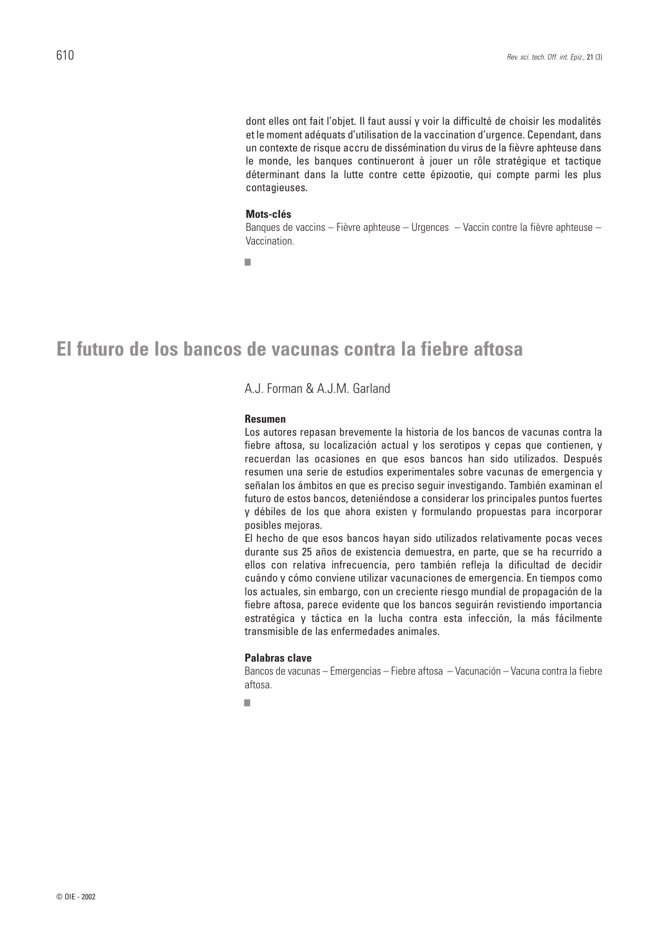dont elles ont fait l'objet. Il faut aussi y voir la difficulté de choisir les modalités et le moment adéquats d'utilisation de la vaccination d'urgence. Cependant, dans un contexte de risque accru de dissémination du virus de la fièvre aphteuse dans le monde, les banques continueront à jouer un rôle stratégique et tactique déterminant dans la lutte contre cette épizootie, qui compte parmi les plus contagieuses.

#### **Mots-clés**

Banques de vaccins – Fièvre aphteuse – Urgences – Vaccin contre la fièvre aphteuse – Vaccination.

■

## **El futuro de los bancos de vacunas contra la fiebre aftosa**

### A.J. Forman & A.J.M. Garland

#### **Resumen**

Los autores repasan brevemente la historia de los bancos de vacunas contra la fiebre aftosa, su localización actual y los serotipos y cepas que contienen, y recuerdan las ocasiones en que esos bancos han sido utilizados. Después resumen una serie de estudios experimentales sobre vacunas de emergencia y señalan los ámbitos en que es preciso seguir investigando. También examinan el futuro de estos bancos, deteniéndose a considerar los principales puntos fuertes y débiles de los que ahora existen y formulando propuestas para incorporar posibles mejoras.

El hecho de que esos bancos hayan sido utilizados relativamente pocas veces durante sus 25 años de existencia demuestra, en parte, que se ha recurrido a ellos con relativa infrecuencia, pero también refleja la dificultad de decidir cuándo y cómo conviene utilizar vacunaciones de emergencia. En tiempos como los actuales, sin embargo, con un creciente riesgo mundial de propagación de la fiebre aftosa, parece evidente que los bancos seguirán revistiendo importancia estratégica y táctica en la lucha contra esta infección, la más fácilmente transmisible de las enfermedades animales.

#### **Palabras clave**

Bancos de vacunas – Emergencias – Fiebre aftosa – Vacunación – Vacuna contra la fiebre aftosa.

■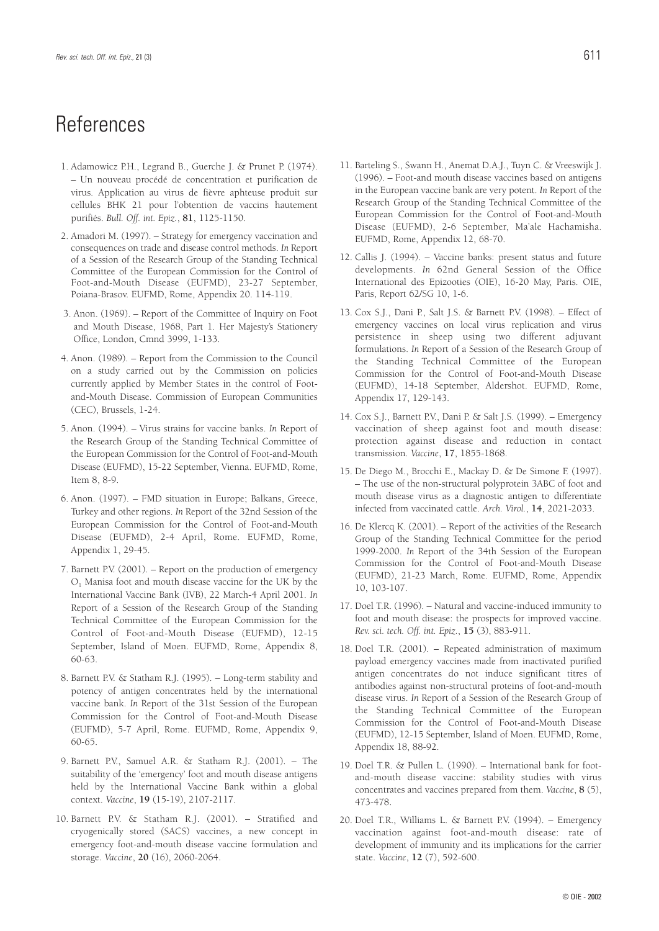## References

- 1. Adamowicz P.H., Legrand B., Guerche J. & Prunet P. (1974). – Un nouveau procédé de concentration et purification de virus. Application au virus de fièvre aphteuse produit sur cellules BHK 21 pour l'obtention de vaccins hautement purifiés. *Bull. Off. int. Epiz.*, **81**, 1125-1150.
- 2. Amadori M. (1997). Strategy for emergency vaccination and consequences on trade and disease control methods. *In* Report of a Session of the Research Group of the Standing Technical Committee of the European Commission for the Control of Foot-and-Mouth Disease (EUFMD), 23-27 September, Poiana-Brasov. EUFMD, Rome, Appendix 20. 114-119.
- 3. Anon. (1969). Report of the Committee of Inquiry on Foot and Mouth Disease, 1968, Part 1. Her Majesty's Stationery Office, London, Cmnd 3999, 1-133.
- 4. Anon. (1989). Report from the Commission to the Council on a study carried out by the Commission on policies currently applied by Member States in the control of Footand-Mouth Disease. Commission of European Communities (CEC), Brussels, 1-24.
- 5. Anon. (1994). Virus strains for vaccine banks. *In* Report of the Research Group of the Standing Technical Committee of the European Commission for the Control of Foot-and-Mouth Disease (EUFMD), 15-22 September, Vienna. EUFMD, Rome, Item 8, 8-9.
- 6. Anon. (1997). FMD situation in Europe; Balkans, Greece, Turkey and other regions. *In* Report of the 32nd Session of the European Commission for the Control of Foot-and-Mouth Disease (EUFMD), 2-4 April, Rome. EUFMD, Rome, Appendix 1, 29-45.
- 7. Barnett P.V. (2001). Report on the production of emergency O1 Manisa foot and mouth disease vaccine for the UK by the International Vaccine Bank (IVB), 22 March-4 April 2001. *In* Report of a Session of the Research Group of the Standing Technical Committee of the European Commission for the Control of Foot-and-Mouth Disease (EUFMD), 12-15 September, Island of Moen. EUFMD, Rome, Appendix 8, 60-63.
- 8. Barnett P.V. & Statham R.J. (1995). Long-term stability and potency of antigen concentrates held by the international vaccine bank. *In* Report of the 31st Session of the European Commission for the Control of Foot-and-Mouth Disease (EUFMD), 5-7 April, Rome. EUFMD, Rome, Appendix 9, 60-65.
- 9. Barnett P.V., Samuel A.R. & Statham R.J. (2001). The suitability of the 'emergency' foot and mouth disease antigens held by the International Vaccine Bank within a global context. *Vaccine*, **19** (15-19), 2107-2117.
- 10. Barnett P.V. & Statham R.J. (2001). Stratified and cryogenically stored (SACS) vaccines, a new concept in emergency foot-and-mouth disease vaccine formulation and storage. *Vaccine*, **20** (16), 2060-2064.
- 
- 11. Barteling S., Swann H., Anemat D.A.J., Tuyn C. & Vreeswijk J. (1996). – Foot-and mouth disease vaccines based on antigens in the European vaccine bank are very potent. *In* Report of the Research Group of the Standing Technical Committee of the European Commission for the Control of Foot-and-Mouth Disease (EUFMD), 2-6 September, Ma'ale Hachamisha. EUFMD, Rome, Appendix 12, 68-70.
- 12. Callis J. (1994). Vaccine banks: present status and future developments. *In* 62nd General Session of the Office International des Epizooties (OIE), 16-20 May, Paris. OIE, Paris, Report 62/SG 10, 1-6.
- 13. Cox S.J., Dani P., Salt J.S. & Barnett P.V. (1998). Effect of emergency vaccines on local virus replication and virus persistence in sheep using two different adjuvant formulations. *In* Report of a Session of the Research Group of the Standing Technical Committee of the European Commission for the Control of Foot-and-Mouth Disease (EUFMD), 14-18 September, Aldershot. EUFMD, Rome, Appendix 17, 129-143.
- 14. Cox S.J., Barnett P.V., Dani P. & Salt J.S. (1999). Emergency vaccination of sheep against foot and mouth disease: protection against disease and reduction in contact transmission. *Vaccine*, **17**, 1855-1868.
- 15. De Diego M., Brocchi E., Mackay D. & De Simone F. (1997). – The use of the non-structural polyprotein 3ABC of foot and mouth disease virus as a diagnostic antigen to differentiate infected from vaccinated cattle. *Arch. Virol.*, **14**, 2021-2033.
- 16. De Klercq K. (2001). Report of the activities of the Research Group of the Standing Technical Committee for the period 1999-2000. *In* Report of the 34th Session of the European Commission for the Control of Foot-and-Mouth Disease (EUFMD), 21-23 March, Rome. EUFMD, Rome, Appendix 10, 103-107.
- 17. Doel T.R. (1996). Natural and vaccine-induced immunity to foot and mouth disease: the prospects for improved vaccine. *Rev. sci. tech. Off. int. Epiz.*, **15** (3), 883-911.
- 18. Doel T.R. (2001). Repeated administration of maximum payload emergency vaccines made from inactivated purified antigen concentrates do not induce significant titres of antibodies against non-structural proteins of foot-and-mouth disease virus. *In* Report of a Session of the Research Group of the Standing Technical Committee of the European Commission for the Control of Foot-and-Mouth Disease (EUFMD), 12-15 September, Island of Moen. EUFMD, Rome, Appendix 18, 88-92.
- 19. Doel T.R. & Pullen L. (1990). International bank for footand-mouth disease vaccine: stability studies with virus concentrates and vaccines prepared from them. *Vaccine*, **8** (5), 473-478.
- 20. Doel T.R., Williams L. & Barnett P.V. (1994). Emergency vaccination against foot-and-mouth disease: rate of development of immunity and its implications for the carrier state. *Vaccine*, **12** (7), 592-600.